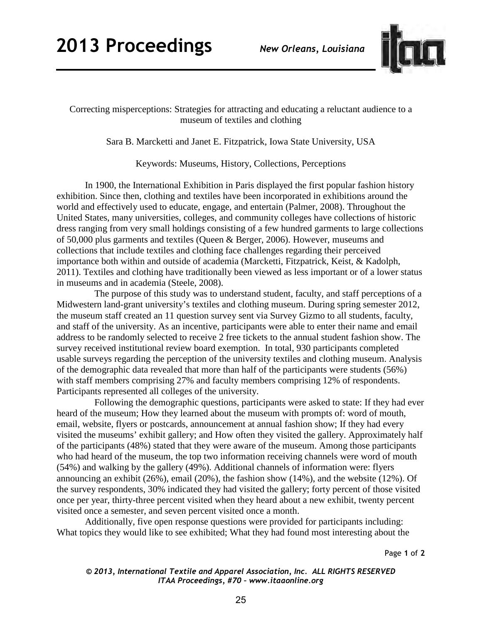

Correcting misperceptions: Strategies for attracting and educating a reluctant audience to a museum of textiles and clothing

Sara B. Marcketti and Janet E. Fitzpatrick, Iowa State University, USA

Keywords: Museums, History, Collections, Perceptions

In 1900, the International Exhibition in Paris displayed the first popular fashion history exhibition. Since then, clothing and textiles have been incorporated in exhibitions around the world and effectively used to educate, engage, and entertain (Palmer, 2008). Throughout the United States, many universities, colleges, and community colleges have collections of historic dress ranging from very small holdings consisting of a few hundred garments to large collections of 50,000 plus garments and textiles (Queen & Berger, 2006). However, museums and collections that include textiles and clothing face challenges regarding their perceived importance both within and outside of academia (Marcketti, Fitzpatrick, Keist, & Kadolph, 2011). Textiles and clothing have traditionally been viewed as less important or of a lower status in museums and in academia (Steele, 2008).

The purpose of this study was to understand student, faculty, and staff perceptions of a Midwestern land-grant university's textiles and clothing museum. During spring semester 2012, the museum staff created an 11 question survey sent via Survey Gizmo to all students, faculty, and staff of the university. As an incentive, participants were able to enter their name and email address to be randomly selected to receive 2 free tickets to the annual student fashion show. The survey received institutional review board exemption. In total, 930 participants completed usable surveys regarding the perception of the university textiles and clothing museum. Analysis of the demographic data revealed that more than half of the participants were students (56%) with staff members comprising 27% and faculty members comprising 12% of respondents. Participants represented all colleges of the university.

Following the demographic questions, participants were asked to state: If they had ever heard of the museum; How they learned about the museum with prompts of: word of mouth, email, website, flyers or postcards, announcement at annual fashion show; If they had every visited the museums' exhibit gallery; and How often they visited the gallery. Approximately half of the participants (48%) stated that they were aware of the museum. Among those participants who had heard of the museum, the top two information receiving channels were word of mouth (54%) and walking by the gallery (49%). Additional channels of information were: flyers announcing an exhibit (26%), email (20%), the fashion show (14%), and the website (12%). Of the survey respondents, 30% indicated they had visited the gallery; forty percent of those visited once per year, thirty-three percent visited when they heard about a new exhibit, twenty percent visited once a semester, and seven percent visited once a month.

Additionally, five open response questions were provided for participants including: What topics they would like to see exhibited; What they had found most interesting about the

Page **1** of **2** 

*© 2013, International Textile and Apparel Association, Inc. ALL RIGHTS RESERVED ITAA Proceedings, #70 – www.itaaonline.org*